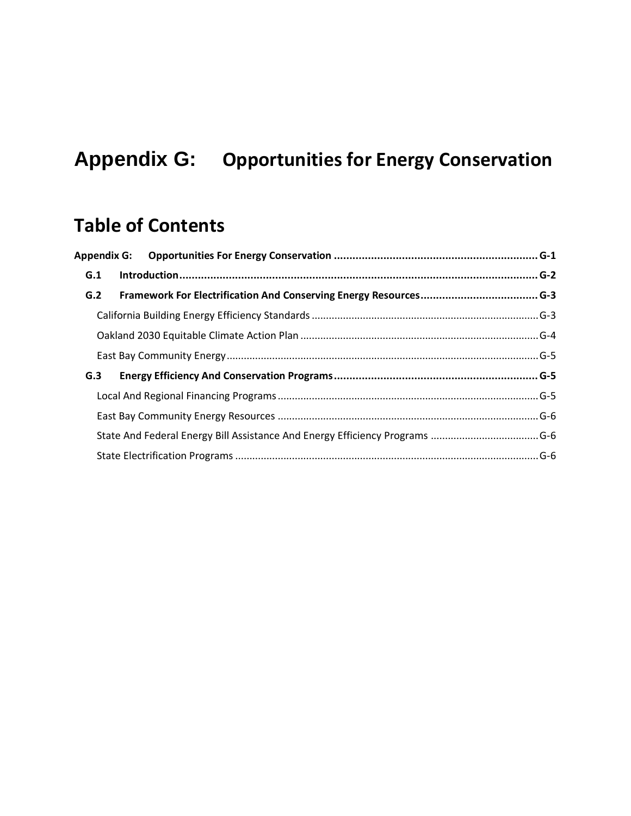# <span id="page-0-0"></span>**Appendix G: Opportunities for Energy Conservation**

## **Table of Contents**

| G.1 |     |  |
|-----|-----|--|
| G.2 |     |  |
|     |     |  |
|     |     |  |
|     |     |  |
|     | G.3 |  |
|     |     |  |
|     |     |  |
|     |     |  |
|     |     |  |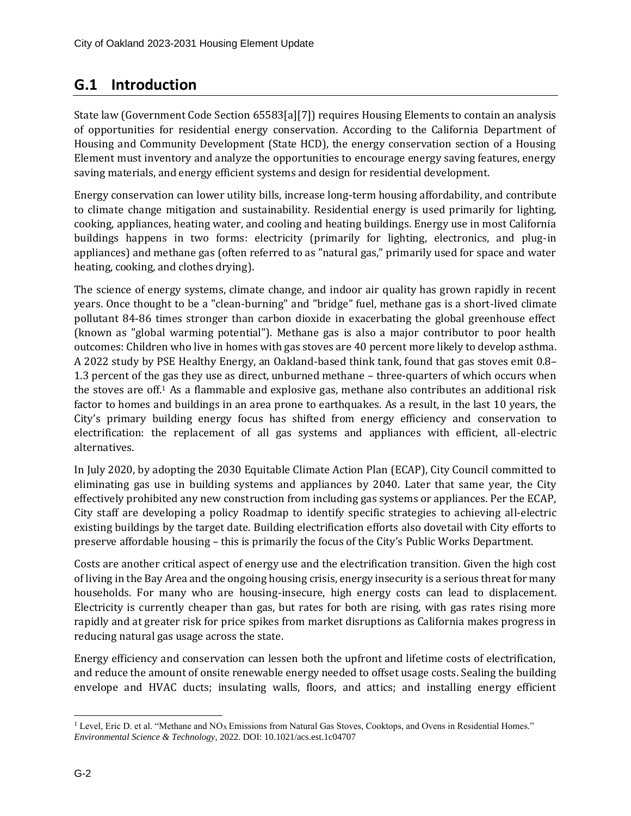## <span id="page-1-0"></span>**G.1 Introduction**

State law (Government Code Section 65583[a][7]) requires Housing Elements to contain an analysis of opportunities for residential energy conservation. According to the California Department of Housing and Community Development (State HCD), the energy conservation section of a Housing Element must inventory and analyze the opportunities to encourage energy saving features, energy saving materials, and energy efficient systems and design for residential development.

Energy conservation can lower utility bills, increase long-term housing affordability, and contribute to climate change mitigation and sustainability. Residential energy is used primarily for lighting, cooking, appliances, heating water, and cooling and heating buildings. Energy use in most California buildings happens in two forms: electricity (primarily for lighting, electronics, and plug-in appliances) and methane gas (often referred to as "natural gas," primarily used for space and water heating, cooking, and clothes drying).

The science of energy systems, climate change, and indoor air quality has grown rapidly in recent years. Once thought to be a "clean-burning" and "bridge" fuel, methane gas is a short-lived climate pollutant 84-86 times stronger than carbon dioxide in exacerbating the global greenhouse effect (known as "global warming potential"). Methane gas is also a major contributor to poor health outcomes: Children who live in homes with gas stoves are 40 percent more likely to develop asthma. A 2022 study by PSE Healthy Energy, an Oakland-based think tank, found that gas stoves emit 0.8– 1.3 percent of the gas they use as direct, unburned methane – three-quarters of which occurs when the stoves are off.<sup>1</sup> As a flammable and explosive gas, methane also contributes an additional risk factor to homes and buildings in an area prone to earthquakes. As a result, in the last 10 years, the City's primary building energy focus has shifted from energy efficiency and conservation to electrification: the replacement of all gas systems and appliances with efficient, all-electric alternatives.

In July 2020, by adopting the 2030 Equitable Climate Action Plan (ECAP), City Council committed to eliminating gas use in building systems and appliances by 2040. Later that same year, the City effectively prohibited any new construction from including gas systems or appliances. Per the ECAP, City staff are developing a policy Roadmap to identify specific strategies to achieving all-electric existing buildings by the target date. Building electrification efforts also dovetail with City efforts to preserve affordable housing – this is primarily the focus of the City's Public Works Department.

Costs are another critical aspect of energy use and the electrification transition. Given the high cost of living in the Bay Area and the ongoing housing crisis, energy insecurity is a serious threat for many households. For many who are housing-insecure, high energy costs can lead to displacement. Electricity is currently cheaper than gas, but rates for both are rising, with gas rates rising more rapidly and at greater risk for price spikes from market disruptions as California makes progress in reducing natural gas usage across the state.

Energy efficiency and conservation can lessen both the upfront and lifetime costs of electrification, and reduce the amount of onsite renewable energy needed to offset usage costs. Sealing the building envelope and HVAC ducts; insulating walls, floors, and attics; and installing energy efficient

<sup>&</sup>lt;sup>1</sup> Level, Eric D. et al. "Methane and  $NO<sub>X</sub>$  Emissions from Natural Gas Stoves, Cooktops, and Ovens in Residential Homes." *Environmental Science & Technology*, 2022. DOI: 10.1021/acs.est.1c04707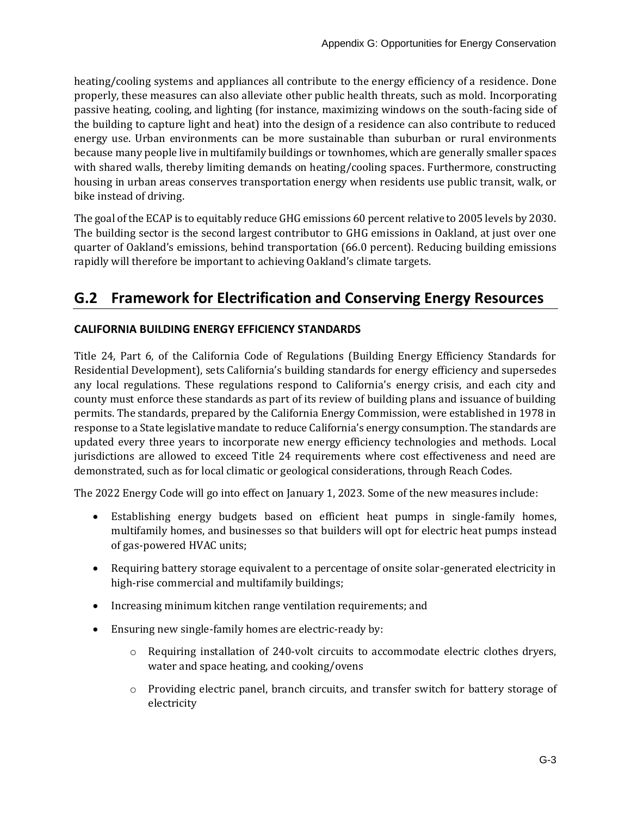heating/cooling systems and appliances all contribute to the energy efficiency of a residence. Done properly, these measures can also alleviate other public health threats, such as mold. Incorporating passive heating, cooling, and lighting (for instance, maximizing windows on the south-facing side of the building to capture light and heat) into the design of a residence can also contribute to reduced energy use. Urban environments can be more sustainable than suburban or rural environments because many people live in multifamily buildings or townhomes, which are generally smaller spaces with shared walls, thereby limiting demands on heating/cooling spaces. Furthermore, constructing housing in urban areas conserves transportation energy when residents use public transit, walk, or bike instead of driving.

The goal of the ECAP is to equitably reduce GHG emissions 60 percent relative to 2005 levels by 2030. The building sector is the second largest contributor to GHG emissions in Oakland, at just over one quarter of Oakland's emissions, behind transportation (66.0 percent). Reducing building emissions rapidly will therefore be important to achieving Oakland's climate targets.

## <span id="page-2-0"></span>**G.2 Framework for Electrification and Conserving Energy Resources**

#### <span id="page-2-1"></span>**CALIFORNIA BUILDING ENERGY EFFICIENCY STANDARDS**

Title 24, Part 6, of the California Code of Regulations (Building Energy Efficiency Standards for Residential Development), sets California's building standards for energy efficiency and supersedes any local regulations. These regulations respond to California's energy crisis, and each city and county must enforce these standards as part of its review of building plans and issuance of building permits. The standards, prepared by the California Energy Commission, were established in 1978 in response to a State legislative mandate to reduce California's energy consumption. The standards are updated every three years to incorporate new energy efficiency technologies and methods. Local jurisdictions are allowed to exceed Title 24 requirements where cost effectiveness and need are demonstrated, such as for local climatic or geological considerations, through Reach Codes.

The 2022 Energy Code will go into effect on January 1, 2023. Some of the new measures include:

- Establishing energy budgets based on efficient heat pumps in single-family homes, multifamily homes, and businesses so that builders will opt for electric heat pumps instead of gas-powered HVAC units;
- Requiring battery storage equivalent to a percentage of onsite solar-generated electricity in high-rise commercial and multifamily buildings;
- Increasing minimum kitchen range ventilation requirements; and
- Ensuring new single-family homes are electric-ready by:
	- $\circ$  Requiring installation of 240-volt circuits to accommodate electric clothes dryers, water and space heating, and cooking/ovens
	- $\circ$  Providing electric panel, branch circuits, and transfer switch for battery storage of electricity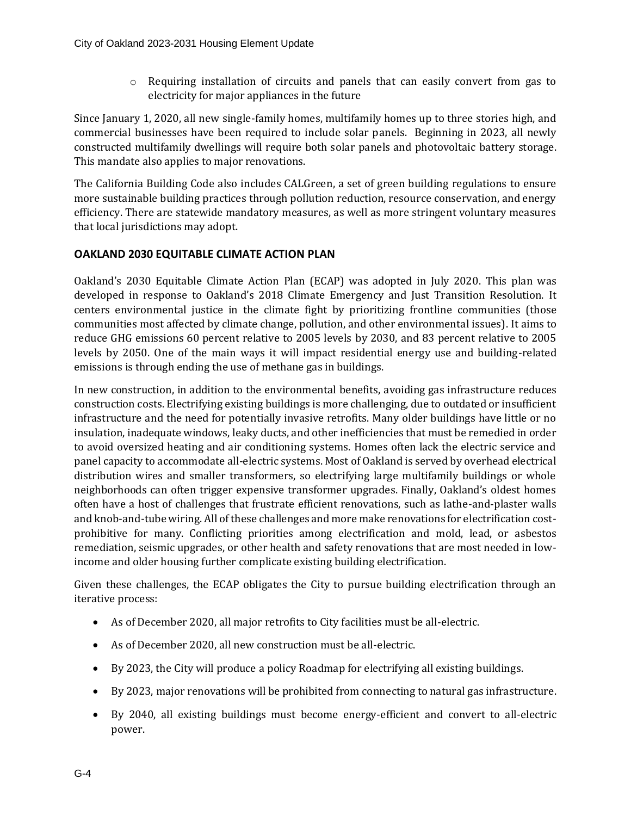$\circ$  Requiring installation of circuits and panels that can easily convert from gas to electricity for major appliances in the future

Since January 1, 2020, all new single-family homes, multifamily homes up to three stories high, and commercial businesses have been required to include solar panels. Beginning in 2023, all newly constructed multifamily dwellings will require both solar panels and photovoltaic battery storage. This mandate also applies to major renovations.

The California Building Code also includes CALGreen, a set of green building regulations to ensure more sustainable building practices through pollution reduction, resource conservation, and energy efficiency. There are statewide mandatory measures, as well as more stringent voluntary measures that local jurisdictions may adopt.

#### <span id="page-3-0"></span>**OAKLAND 2030 EQUITABLE CLIMATE ACTION PLAN**

Oakland's 2030 Equitable Climate Action Plan (ECAP) was adopted in July 2020. This plan was developed in response to Oakland's 2018 Climate Emergency and Just Transition Resolution. It centers environmental justice in the climate fight by prioritizing frontline communities (those communities most affected by climate change, pollution, and other environmental issues). It aims to reduce GHG emissions 60 percent relative to 2005 levels by 2030, and 83 percent relative to 2005 levels by 2050. One of the main ways it will impact residential energy use and building-related emissions is through ending the use of methane gas in buildings.

In new construction, in addition to the environmental benefits, avoiding gas infrastructure reduces construction costs. Electrifying existing buildings is more challenging, due to outdated or insufficient infrastructure and the need for potentially invasive retrofits. Many older buildings have little or no insulation, inadequate windows, leaky ducts, and other inefficiencies that must be remedied in order to avoid oversized heating and air conditioning systems. Homes often lack the electric service and panel capacity to accommodate all-electric systems. Most of Oakland is served by overhead electrical distribution wires and smaller transformers, so electrifying large multifamily buildings or whole neighborhoods can often trigger expensive transformer upgrades. Finally, Oakland's oldest homes often have a host of challenges that frustrate efficient renovations, such as lathe-and-plaster walls and knob-and-tube wiring. All of these challenges and more make renovations for electrification costprohibitive for many. Conflicting priorities among electrification and mold, lead, or asbestos remediation, seismic upgrades, or other health and safety renovations that are most needed in lowincome and older housing further complicate existing building electrification.

Given these challenges, the ECAP obligates the City to pursue building electrification through an iterative process:

- As of December 2020, all major retrofits to City facilities must be all-electric.
- As of December 2020, all new construction must be all-electric.
- By 2023, the City will produce a policy Roadmap for electrifying all existing buildings.
- By 2023, major renovations will be prohibited from connecting to natural gas infrastructure.
- By 2040, all existing buildings must become energy-efficient and convert to all-electric power.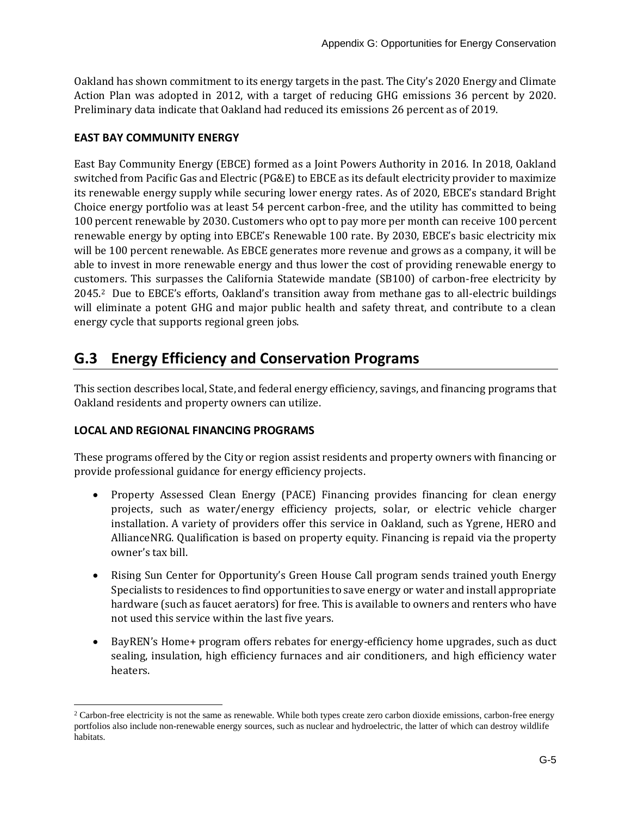Oakland has shown commitment to its energy targets in the past. The City's 2020 Energy and Climate Action Plan was adopted in 2012, with a target of reducing GHG emissions 36 percent by 2020. Preliminary data indicate that Oakland had reduced its emissions 26 percent as of 2019.

#### <span id="page-4-0"></span>**EAST BAY COMMUNITY ENERGY**

East Bay Community Energy (EBCE) formed as a Joint Powers Authority in 2016. In 2018, Oakland switched from Pacific Gas and Electric (PG&E) to EBCE as its default electricity provider to maximize its renewable energy supply while securing lower energy rates. As of 2020, EBCE's standard Bright Choice energy portfolio was at least 54 percent carbon-free, and the utility has committed to being 100 percent renewable by 2030. Customers who opt to pay more per month can receive 100 percent renewable energy by opting into EBCE's Renewable 100 rate. By 2030, EBCE's basic electricity mix will be 100 percent renewable. As EBCE generates more revenue and grows as a company, it will be able to invest in more renewable energy and thus lower the cost of providing renewable energy to customers. This surpasses the California Statewide mandate (SB100) of carbon-free electricity by 2045. <sup>2</sup> Due to EBCE's efforts, Oakland's transition away from methane gas to all-electric buildings will eliminate a potent GHG and major public health and safety threat, and contribute to a clean energy cycle that supports regional green jobs.

## <span id="page-4-1"></span>**G.3 Energy Efficiency and Conservation Programs**

This section describes local, State, and federal energy efficiency, savings, and financing programs that Oakland residents and property owners can utilize.

#### <span id="page-4-2"></span>**LOCAL AND REGIONAL FINANCING PROGRAMS**

These programs offered by the City or region assist residents and property owners with financing or provide professional guidance for energy efficiency projects.

- Property Assessed Clean Energy (PACE) Financing provides financing for clean energy projects, such as water/energy efficiency projects, solar, or electric vehicle charger installation. A variety of providers offer this service in Oakland, such as Ygrene, HERO and AllianceNRG. Qualification is based on property equity. Financing is repaid via the property owner's tax bill.
- Rising Sun Center for Opportunity's Green House Call program sends trained youth Energy Specialists to residences to find opportunities to save energy or water and install appropriate hardware (such as faucet aerators) for free. This is available to owners and renters who have not used this service within the last five years.
- BayREN's Home+ program offers rebates for energy-efficiency home upgrades, such as duct sealing, insulation, high efficiency furnaces and air conditioners, and high efficiency water heaters.

<sup>&</sup>lt;sup>2</sup> Carbon-free electricity is not the same as renewable. While both types create zero carbon dioxide emissions, carbon-free energy portfolios also include non-renewable energy sources, such as nuclear and hydroelectric, the latter of which can destroy wildlife habitats.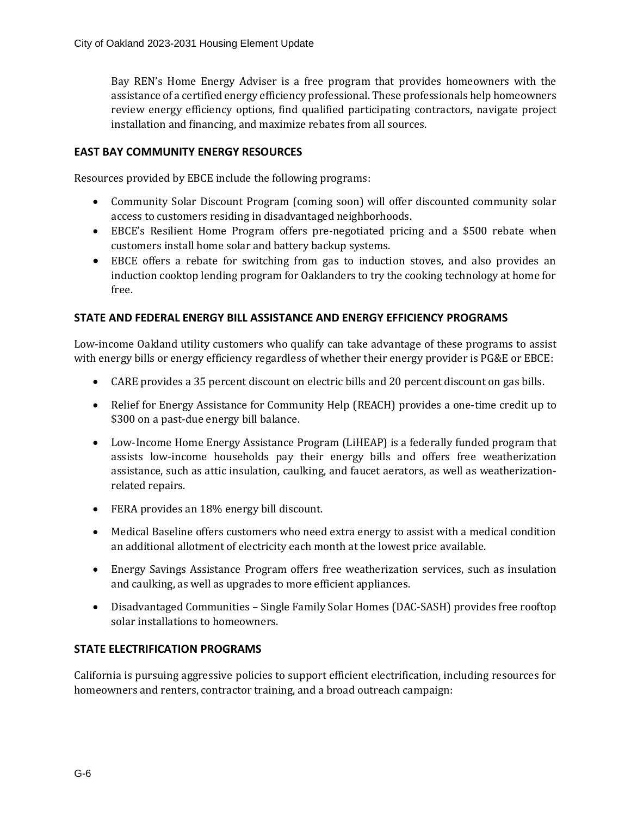Bay REN's Home Energy Adviser is a free program that provides homeowners with the assistance of a certified energy efficiency professional. These professionals help homeowners review energy efficiency options, find qualified participating contractors, navigate project installation and financing, and maximize rebates from all sources.

#### <span id="page-5-0"></span>**EAST BAY COMMUNITY ENERGY RESOURCES**

Resources provided by EBCE include the following programs:

- Community Solar Discount Program (coming soon) will offer discounted community solar access to customers residing in disadvantaged neighborhoods.
- EBCE's Resilient Home Program offers pre-negotiated pricing and a \$500 rebate when customers install home solar and battery backup systems.
- EBCE offers a rebate for switching from gas to induction stoves, and also provides an induction cooktop lending program for Oaklanders to try the cooking technology at home for free.

#### <span id="page-5-1"></span>**STATE AND FEDERAL ENERGY BILL ASSISTANCE AND ENERGY EFFICIENCY PROGRAMS**

Low-income Oakland utility customers who qualify can take advantage of these programs to assist with energy bills or energy efficiency regardless of whether their energy provider is PG&E or EBCE:

- CARE provides a 35 percent discount on electric bills and 20 percent discount on gas bills.
- Relief for Energy Assistance for Community Help (REACH) provides a one-time credit up to \$300 on a past-due energy bill balance.
- Low-Income Home Energy Assistance Program (LiHEAP) is a federally funded program that assists low-income households pay their energy bills and offers free weatherization assistance, such as attic insulation, caulking, and faucet aerators, as well as weatherizationrelated repairs.
- FERA provides an 18% energy bill discount.
- Medical Baseline offers customers who need extra energy to assist with a medical condition an additional allotment of electricity each month at the lowest price available.
- Energy Savings Assistance Program offers free weatherization services, such as insulation and caulking, as well as upgrades to more efficient appliances.
- Disadvantaged Communities Single Family Solar Homes (DAC-SASH) provides free rooftop solar installations to homeowners.

#### <span id="page-5-2"></span>**STATE ELECTRIFICATION PROGRAMS**

California is pursuing aggressive policies to support efficient electrification, including resources for homeowners and renters, contractor training, and a broad outreach campaign: